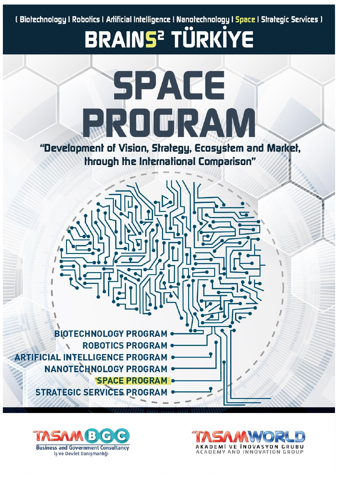( Biołechnology | Robołics | Artificial Intelligence | Nanołechnology | Space | Strategic Services |

**BRAINS<sup>2</sup> TÜRKİYE** 



"Development of Vision, Strategy, Ecosystem and Market, through the International Comparison"





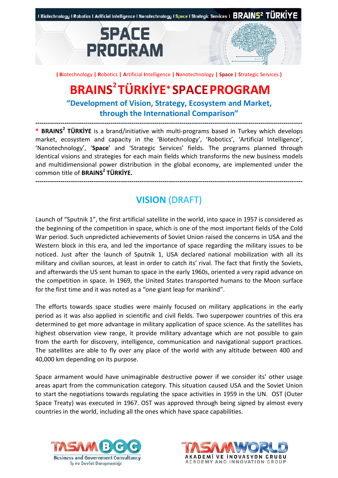



**( B**iotechnology **| R**obotics **| A**rtificial **I**ntelligence **| N**anotechnology **| Space | S**trategic Services **)**

# **BRAINS 2 TÜRKİYE\* SPACEPROGRAM**

**"Development of Vision, Strategy, Ecosystem and Market, through the International Comparison"**

**-------------------------------------------------------------------------------------------------------------------------------- \* BRAINS<sup>2</sup> TÜRKİYE** is a brand/initiative with multi-programs based in Turkey which develops market, ecosystem and capacity in the 'Biotechnology', 'Robotics', 'Artificial Intelligence', 'Nanotechnology', '**Space**' and 'Strategic Services' fields. The programs planned through identical visions and strategies for each main fields which transforms the new business models and multidimensional power distribution in the global economy, are implemented under the common title of **BRAINS<sup>2</sup> TÜRKİYE.**

## **VISION** (DRAFT)

**--------------------------------------------------------------------------------------------------------------------------------**

Launch of "Sputnik 1", the first artificial satellite in the world, into space in 1957 is considered as the beginning of the competition in space, which is one of the most important fields of the Cold War period. Such unpredicted achievements of Soviet Union raised the concerns in USA and the Western block in this era, and led the importance of space regarding the military issues to be noticed. Just after the launch of Sputnik 1, USA declared national mobilization with all its military and civilian sources, at least in order to catch its' rival. The fact that firstly the Soviets, and afterwards the US sent human to space in the early 1960s, oriented a very rapid advance on the competition in space. In 1969, the United States transported humans to the Moon surface for the first time and it was noted as a "one giant leap for mankind".

The efforts towards space studies were mainly focused on military applications in the early period as it was also applied in scientific and civil fields. Two superpower countries of this era determined to get more advantage in military application of space science. As the satellites has highest observation view range, it provide military advantage which are not possible to gain from the earth for discovery, intelligence, communication and navigational support practices. The satellites are able to fly over any place of the world with any altitude between 400 and 40,000 km depending on its purpose.

Space armament would have unimaginable destructive power if we consider its' other usage areas apart from the communication category. This situation caused USA and the Soviet Union to start the negotiations towards regulating the space activities in 1959 in the UN. OST (Outer Space Treaty) was executed in 1967. OST was approved through being signed by almost every countries in the world, including all the ones which have space capabilities.



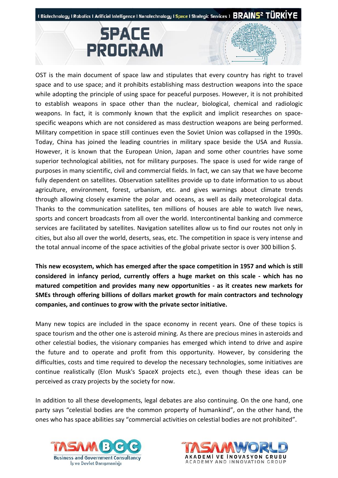

OST is the main document of space law and stipulates that every country has right to travel space and to use space; and it prohibits establishing mass destruction weapons into the space while adopting the principle of using space for peaceful purposes. However, it is not prohibited to establish weapons in space other than the nuclear, biological, chemical and radiologic weapons. In fact, it is commonly known that the explicit and implicit researches on spacespecific weapons which are not considered as mass destruction weapons are being performed. Military competition in space still continues even the Soviet Union was collapsed in the 1990s. Today, China has joined the leading countries in military space beside the USA and Russia. However, it is known that the European Union, Japan and some other countries have some superior technological abilities, not for military purposes. The space is used for wide range of purposes in many scientific, civil and commercial fields. In fact, we can say that we have become fully dependent on satellites. Observation satellites provide up to date information to us about agriculture, environment, forest, urbanism, etc. and gives warnings about climate trends through allowing closely examine the polar and oceans, as well as daily meteorological data. Thanks to the communication satellites, ten millions of houses are able to watch live news, sports and concert broadcasts from all over the world. Intercontinental banking and commerce services are facilitated by satellites. Navigation satellites allow us to find our routes not only in cities, but also all over the world, deserts, seas, etc. The competition in space is very intense and the total annual income of the space activities of the global private sector is over 300 billion \$.

**This new ecosystem, which has emerged after the space competition in 1957 and which is still considered in infancy period, currently offers a huge market on this scale - which has no matured competition and provides many new opportunities - as it creates new markets for SMEs through offering billions of dollars market growth for main contractors and technology companies, and continues to grow with the private sector initiative.**

Many new topics are included in the space economy in recent years. One of these topics is space tourism and the other one is asteroid mining. As there are precious mines in asteroids and other celestial bodies, the visionary companies has emerged which intend to drive and aspire the future and to operate and profit from this opportunity. However, by considering the difficulties, costs and time required to develop the necessary technologies, some initiatives are continue realistically (Elon Musk's SpaceX projects etc.), even though these ideas can be perceived as crazy projects by the society for now.

In addition to all these developments, legal debates are also continuing. On the one hand, one party says "celestial bodies are the common property of humankind", on the other hand, the ones who has space abilities say "commercial activities on celestial bodies are not prohibited".



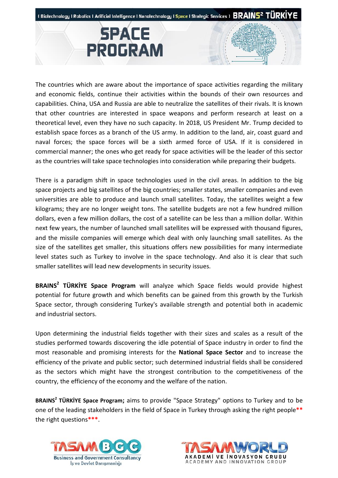



The countries which are aware about the importance of space activities regarding the military and economic fields, continue their activities within the bounds of their own resources and capabilities. China, USA and Russia are able to neutralize the satellites of their rivals. It is known that other countries are interested in space weapons and perform research at least on a theoretical level, even they have no such capacity. In 2018, US President Mr. Trump decided to establish space forces as a branch of the US army. In addition to the land, air, coast guard and naval forces; the space forces will be a sixth armed force of USA. If it is considered in commercial manner; the ones who get ready for space activities will be the leader of this sector as the countries will take space technologies into consideration while preparing their budgets.

There is a paradigm shift in space technologies used in the civil areas. In addition to the big space projects and big satellites of the big countries; smaller states, smaller companies and even universities are able to produce and launch small satellites. Today, the satellites weight a few kilograms; they are no longer weight tons. The satellite budgets are not a few hundred million dollars, even a few million dollars, the cost of a satellite can be less than a million dollar. Within next few years, the number of launched small satellites will be expressed with thousand figures, and the missile companies will emerge which deal with only launching small satellites. As the size of the satellites get smaller, this situations offers new possibilities for many intermediate level states such as Turkey to involve in the space technology. And also it is clear that such smaller satellites will lead new developments in security issues.

**BRAINS<sup>2</sup> TÜRKİYE Space Program** will analyze which Space fields would provide highest potential for future growth and which benefits can be gained from this growth by the Turkish Space sector, through considering Turkey's available strength and potential both in academic and industrial sectors.

Upon determining the industrial fields together with their sizes and scales as a result of the studies performed towards discovering the idle potential of Space industry in order to find the most reasonable and promising interests for the **National Space Sector** and to increase the efficiency of the private and public sector; such determined industrial fields shall be considered as the sectors which might have the strongest contribution to the competitiveness of the country, the efficiency of the economy and the welfare of the nation.

**BRAINS<sup>2</sup> TÜRKİYE Space Program;** aims to provide "Space Strategy" options to Turkey and to be one of the leading stakeholders in the field of Space in Turkey through asking the right people**\*\*** the right questions**\*\*\***.



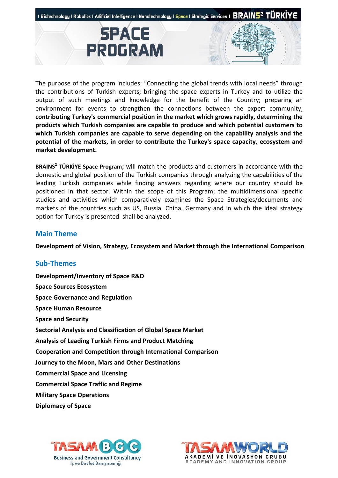

**SPACE** 

**PROGRAM** 



**BRAINS<sup>2</sup> TÜRKİYE Space Program;** will match the products and customers in accordance with the domestic and global position of the Turkish companies through analyzing the capabilities of the leading Turkish companies while finding answers regarding where our country should be positioned in that sector. Within the scope of this Program; the multidimensional specific studies and activities which comparatively examines the Space Strategies/documents and markets of the countries such as US, Russia, China, Germany and in which the ideal strategy option for Turkey is presented shall be analyzed.

### **Main Theme**

**Development of Vision, Strategy, Ecosystem and Market through the International Comparison** 

### **Sub-Themes**

**Development/Inventory of Space R&D Space Sources Ecosystem Space Governance and Regulation Space Human Resource Space and Security Sectorial Analysis and Classification of Global Space Market Analysis of Leading Turkish Firms and Product Matching Cooperation and Competition through International Comparison Journey to the Moon, Mars and Other Destinations Commercial Space and Licensing Commercial Space Traffic and Regime Military Space Operations Diplomacy of Space** 



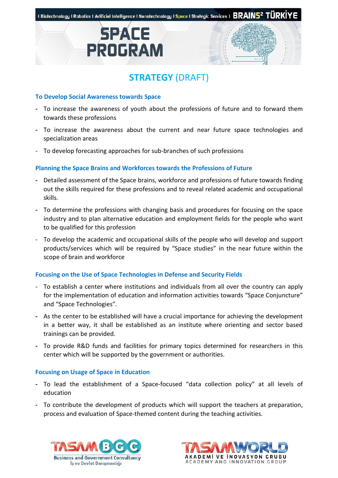





#### **To Develop Social Awareness towards Space**

- **-** To increase the awareness of youth about the professions of future and to forward them towards these professions
- **-** To increase the awareness about the current and near future space technologies and specialization areas
- To develop forecasting approaches for sub-branches of such professions

#### **Planning the Space Brains and Workforces towards the Professions of Future**

- **-** Detailed assessment of the Space brains, workforce and professions of future towards finding out the skills required for these professions and to reveal related academic and occupational skills.
- **-** To determine the professions with changing basis and procedures for focusing on the space industry and to plan alternative education and employment fields for the people who want to be qualified for this profession
- To develop the academic and occupational skills of the people who will develop and support products/services which will be required by "Space studies" in the near future within the scope of brain and workforce

#### **Focusing on the Use of Space Technologies in Defense and Security Fields**

- To establish a center where institutions and individuals from all over the country can apply for the implementation of education and information activities towards "Space Conjuncture" and "Space Technologies".
- **-** As the center to be established will have a crucial importance for achieving the development in a better way, it shall be established as an institute where orienting and sector based trainings can be provided.
- **-** To provide R&D funds and facilities for primary topics determined for researchers in this center which will be supported by the government or authorities.

#### **Focusing on Usage of Space in Education**

- **-** To lead the establishment of a Space-focused "data collection policy" at all levels of education
- **-** To contribute the development of products which will support the teachers at preparation, process and evaluation of Space-themed content during the teaching activities.



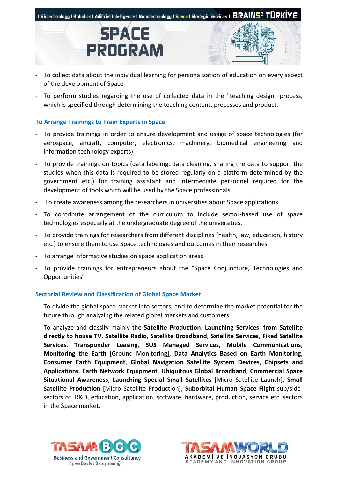



- **-** To collect data about the individual learning for personalization of education on every aspect of the development of Space
- To perform studies regarding the use of collected data in the "teaching design" process, which is specified through determining the teaching content, processes and product.

#### **To Arrange Trainings to Train Experts in Space**

- **-** To provide trainings in order to ensure development and usage of space technologies (for aerospace, aircraft, computer, electronics, machinery, biomedical engineering and information technology experts)
- **-** To provide trainings on topics (data labeling, data cleaning, sharing the data to support the studies when this data is required to be stored regularly on a platform determined by the government etc.) for training assistant and intermediate personnel required for the development of tools which will be used by the Space professionals.
- **-** To create awareness among the researchers in universities about Space applications
- **-** To contribute arrangement of the curriculum to include sector-based use of space technologies especially at the undergraduate degree of the universities.
- **-** To provide trainings for researchers from different disciplines (health, law, education, history etc.) to ensure them to use Space technologies and outcomes in their researches.
- **-** To arrange informative studies on space application areas
- **-** To provide trainings for entrepreneurs about the "Space Conjuncture, Technologies and Opportunities"

#### **Sectorial Review and Classification of Global Space Market**

- To divide the global space market into sectors, and to determine the market potential for the future through analyzing the related global markets and customers
- To analyze and classify mainly the **Satellite Production**, **Launching Services**, **from Satellite directly to house TV**, **Satellite Radio**, **Satellite Broadband**, **Satellite Services**, **Fixed Satellite Services**, **Transponder Leasing**, **SUS Managed Services**, **Mobile Communications**, **Monitoring the Earth** [Ground Monitoring], **Data Analytics Based on Earth Monitoring**, **Consumer Earth Equipment**, **Global Navigation Satellite System Devices**, **Chipsets and Applications**, **Earth Network Equipment**, **Ubiquitous Global Broadband**, **Commercial Space Situational Awareness**, **Launching Special Small Satellites** [Micro Satellite Launch], **Small Satellite Production** [Micro Satellite Production], **Suborbital Human Space Flight** sub/sidesectors of R&D, education, application, software, hardware, production, service etc. sectors in the Space market.



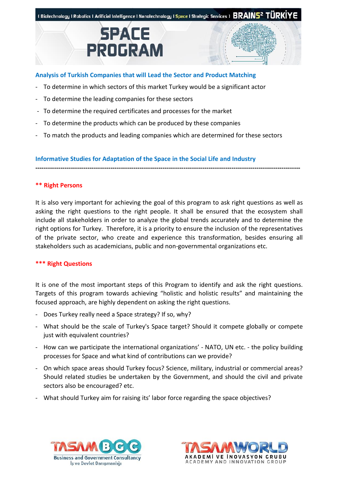





- To determine in which sectors of this market Turkey would be a significant actor
- To determine the leading companies for these sectors
- To determine the required certificates and processes for the market
- To determine the products which can be produced by these companies
- To match the products and leading companies which are determined for these sectors

**Informative Studies for Adaptation of the Space in the Social Life and Industry** 

#### **\*\* Right Persons**

It is also very important for achieving the goal of this program to ask right questions as well as asking the right questions to the right people. It shall be ensured that the ecosystem shall include all stakeholders in order to analyze the global trends accurately and to determine the right options for Turkey. Therefore, it is a priority to ensure the inclusion of the representatives of the private sector, who create and experience this transformation, besides ensuring all stakeholders such as academicians, public and non-governmental organizations etc.

**-------------------------------------------------------------------------------------------------------------------------------**

#### **\*\*\* Right Questions**

It is one of the most important steps of this Program to identify and ask the right questions. Targets of this program towards achieving "holistic and holistic results" and maintaining the focused approach, are highly dependent on asking the right questions.

- Does Turkey really need a Space strategy? If so, why?
- What should be the scale of Turkey's Space target? Should it compete globally or compete just with equivalent countries?
- How can we participate the international organizations' NATO, UN etc. the policy building processes for Space and what kind of contributions can we provide?
- On which space areas should Turkey focus? Science, military, industrial or commercial areas? Should related studies be undertaken by the Government, and should the civil and private sectors also be encouraged? etc.
- What should Turkey aim for raising its' labor force regarding the space objectives?